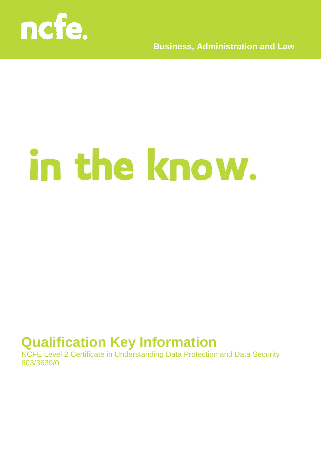

**Business, Administration and Law**

# in the know.

## **Qualification Key Information**

NCFE Level 2 Certificate in Understanding Data Protection and Data Security 603/3639/0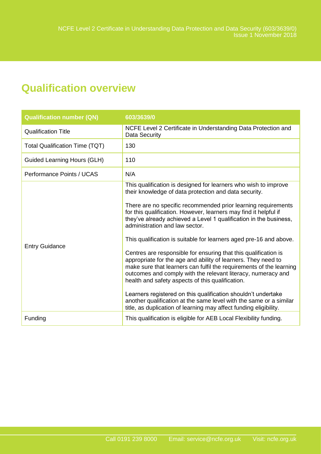### **Qualification overview**

| <b>Qualification number (QN)</b>      | 603/3639/0                                                                                                                                                                                                                                                                                                                                                                                                                                                                                                                                                                                                                                                                                                                                                                                                                                                                                                                                                                            |
|---------------------------------------|---------------------------------------------------------------------------------------------------------------------------------------------------------------------------------------------------------------------------------------------------------------------------------------------------------------------------------------------------------------------------------------------------------------------------------------------------------------------------------------------------------------------------------------------------------------------------------------------------------------------------------------------------------------------------------------------------------------------------------------------------------------------------------------------------------------------------------------------------------------------------------------------------------------------------------------------------------------------------------------|
| <b>Qualification Title</b>            | NCFE Level 2 Certificate in Understanding Data Protection and<br>Data Security                                                                                                                                                                                                                                                                                                                                                                                                                                                                                                                                                                                                                                                                                                                                                                                                                                                                                                        |
| <b>Total Qualification Time (TQT)</b> | 130                                                                                                                                                                                                                                                                                                                                                                                                                                                                                                                                                                                                                                                                                                                                                                                                                                                                                                                                                                                   |
| Guided Learning Hours (GLH)           | 110                                                                                                                                                                                                                                                                                                                                                                                                                                                                                                                                                                                                                                                                                                                                                                                                                                                                                                                                                                                   |
| Performance Points / UCAS             | N/A                                                                                                                                                                                                                                                                                                                                                                                                                                                                                                                                                                                                                                                                                                                                                                                                                                                                                                                                                                                   |
| <b>Entry Guidance</b>                 | This qualification is designed for learners who wish to improve<br>their knowledge of data protection and data security.<br>There are no specific recommended prior learning requirements<br>for this qualification. However, learners may find it helpful if<br>they've already achieved a Level 1 qualification in the business,<br>administration and law sector.<br>This qualification is suitable for learners aged pre-16 and above.<br>Centres are responsible for ensuring that this qualification is<br>appropriate for the age and ability of learners. They need to<br>make sure that learners can fulfil the requirements of the learning<br>outcomes and comply with the relevant literacy, numeracy and<br>health and safety aspects of this qualification.<br>Learners registered on this qualification shouldn't undertake<br>another qualification at the same level with the same or a similar<br>title, as duplication of learning may affect funding eligibility. |
| Funding                               | This qualification is eligible for AEB Local Flexibility funding.                                                                                                                                                                                                                                                                                                                                                                                                                                                                                                                                                                                                                                                                                                                                                                                                                                                                                                                     |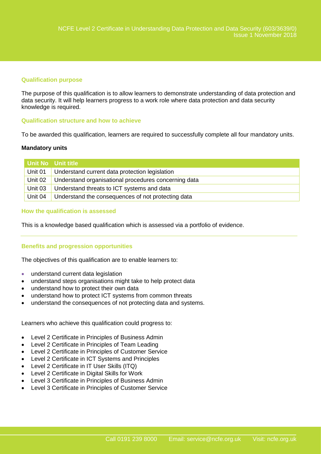#### **Qualification purpose**

The purpose of this qualification is to allow learners to demonstrate understanding of data protection and data security. It will help learners progress to a work role where data protection and data security knowledge is required.

#### **Qualification structure and how to achieve**

To be awarded this qualification, learners are required to successfully complete all four mandatory units.

#### **Mandatory units**

|         | Unit No Unit title                                   |
|---------|------------------------------------------------------|
| Unit 01 | Understand current data protection legislation       |
| Unit 02 | Understand organisational procedures concerning data |
| Unit 03 | Understand threats to ICT systems and data           |
| Unit 04 | Understand the consequences of not protecting data   |

#### **How the qualification is assessed**

This is a knowledge based qualification which is assessed via a portfolio of evidence.

#### **Benefits and progression opportunities**

The objectives of this qualification are to enable learners to:

- understand current data legislation
- understand steps organisations might take to help protect data
- understand how to protect their own data
- understand how to protect ICT systems from common threats
- understand the consequences of not protecting data and systems.

Learners who achieve this qualification could progress to:

- Level 2 Certificate in Principles of Business Admin
- Level 2 Certificate in Principles of Team Leading
- Level 2 Certificate in Principles of Customer Service
- Level 2 Certificate in ICT Systems and Principles
- Level 2 Certificate in IT User Skills (ITQ)
- Level 2 Certificate in Digital Skills for Work
- Level 3 Certificate in Principles of Business Admin
- Level 3 Certificate in Principles of Customer Service